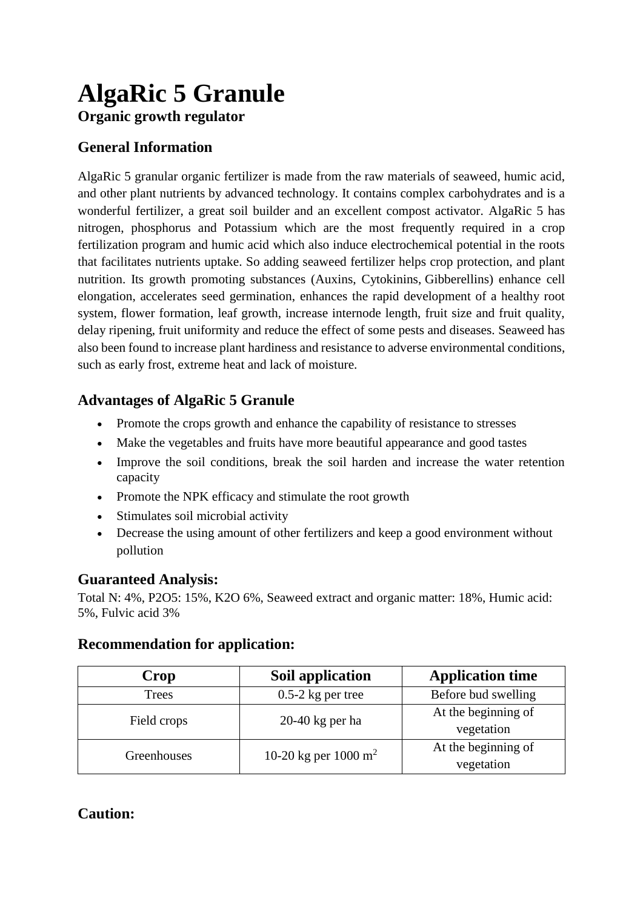# **AlgaRic 5 Granule Organic growth regulator**

## **General Information**

AlgaRic 5 granular organic fertilizer is made from the raw materials of seaweed, humic acid, and other plant nutrients by advanced technology. It contains complex carbohydrates and is a wonderful fertilizer, a great soil builder and an excellent compost activator. AlgaRic 5 has nitrogen, phosphorus and Potassium which are the most frequently required in a crop fertilization program and humic acid which also induce electrochemical potential in the roots that facilitates nutrients uptake. So adding seaweed fertilizer helps crop protection, and plant nutrition. Its growth promoting substances (Auxins, Cytokinins, Gibberellins) enhance cell elongation, accelerates seed germination, enhances the rapid development of a healthy root system, flower formation, leaf growth, increase internode length, fruit size and fruit quality, delay ripening, fruit uniformity and reduce the effect of some pests and diseases. Seaweed has also been found to increase plant hardiness and resistance to adverse environmental conditions, such as early frost, extreme heat and lack of moisture.

### **Advantages of AlgaRic 5 Granule**

- Promote the crops growth and enhance the capability of resistance to stresses
- Make the vegetables and fruits have more beautiful appearance and good tastes
- Improve the soil conditions, break the soil harden and increase the water retention capacity
- Promote the NPK efficacy and stimulate the root growth
- Stimulates soil microbial activity
- Decrease the using amount of other fertilizers and keep a good environment without pollution

### **Guaranteed Analysis:**

Total N: 4%, P2O5: 15%, K2O 6%, Seaweed extract and organic matter: 18%, Humic acid: 5%, Fulvic acid 3%

#### **Recommendation for application:**

| Crop         | Soil application                 | <b>Application time</b> |
|--------------|----------------------------------|-------------------------|
| <b>Trees</b> | $0.5-2$ kg per tree              | Before bud swelling     |
| Field crops  | $20-40$ kg per ha                | At the beginning of     |
|              |                                  | vegetation              |
| Greenhouses  | 10-20 kg per 1000 m <sup>2</sup> | At the beginning of     |
|              |                                  | vegetation              |

### **Caution:**